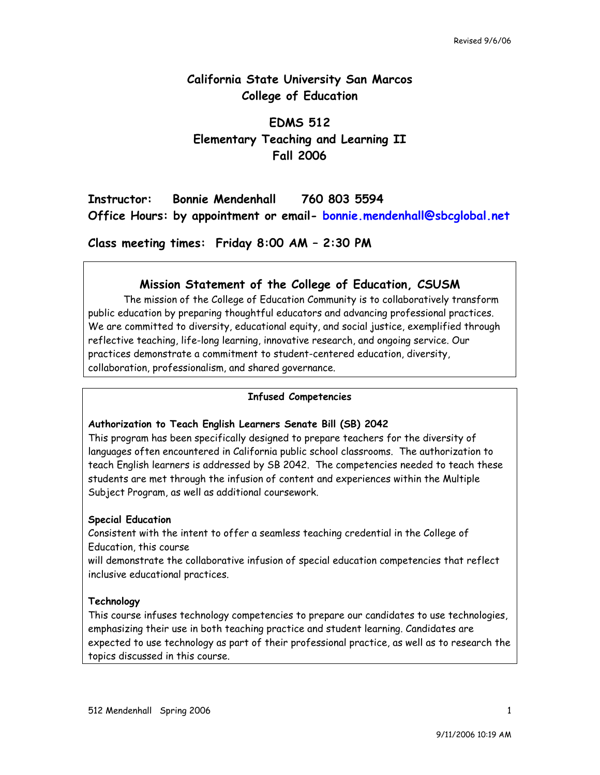# **California State University San Marcos College of Education**

# **EDMS 512 Elementary Teaching and Learning II Fall 2006**

# **Instructor: Bonnie Mendenhall 760 803 5594 Office Hours: by appointment or email- bonnie.mendenhall@sbcglobal.net**

**Class meeting times: Friday 8:00 AM – 2:30 PM**

# **Mission Statement of the College of Education, CSUSM**

The mission of the College of Education Community is to collaboratively transform public education by preparing thoughtful educators and advancing professional practices. We are committed to diversity, educational equity, and social justice, exemplified through reflective teaching, life-long learning, innovative research, and ongoing service. Our practices demonstrate a commitment to student-centered education, diversity, collaboration, professionalism, and shared governance.

### **Infused Competencies**

## **Authorization to Teach English Learners Senate Bill (SB) 2042**

This program has been specifically designed to prepare teachers for the diversity of languages often encountered in California public school classrooms. The authorization to teach English learners is addressed by SB 2042. The competencies needed to teach these students are met through the infusion of content and experiences within the Multiple Subject Program, as well as additional coursework.

## **Special Education**

Consistent with the intent to offer a seamless teaching credential in the College of Education, this course

will demonstrate the collaborative infusion of special education competencies that reflect inclusive educational practices.

### **Technology**

This course infuses technology competencies to prepare our candidates to use technologies, emphasizing their use in both teaching practice and student learning. Candidates are expected to use technology as part of their professional practice, as well as to research the topics discussed in this course.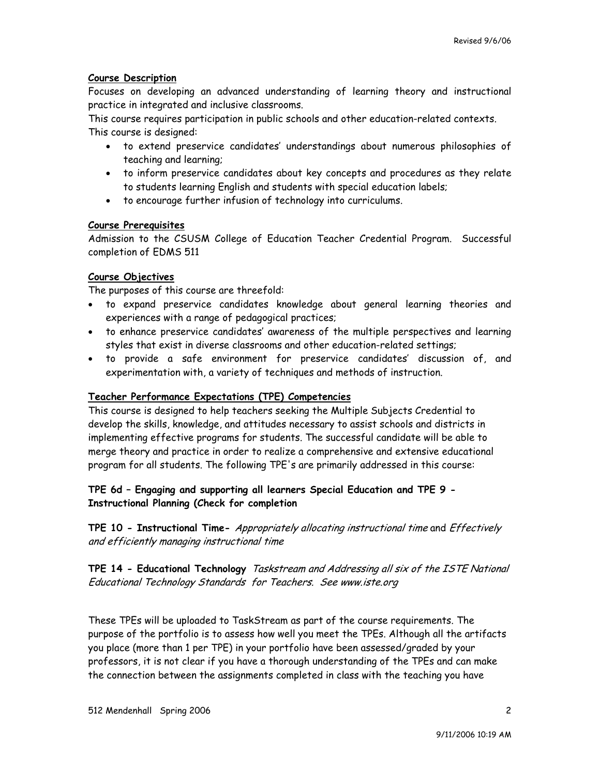## **Course Description**

Focuses on developing an advanced understanding of learning theory and instructional practice in integrated and inclusive classrooms.

This course requires participation in public schools and other education-related contexts. This course is designed:

- to extend preservice candidates' understandings about numerous philosophies of teaching and learning;
- to inform preservice candidates about key concepts and procedures as they relate to students learning English and students with special education labels;
- to encourage further infusion of technology into curriculums.

#### **Course Prerequisites**

Admission to the CSUSM College of Education Teacher Credential Program. Successful completion of EDMS 511

### **Course Objectives**

The purposes of this course are threefold:

- to expand preservice candidates knowledge about general learning theories and experiences with a range of pedagogical practices;
- to enhance preservice candidates' awareness of the multiple perspectives and learning styles that exist in diverse classrooms and other education-related settings;
- to provide a safe environment for preservice candidates' discussion of, and experimentation with, a variety of techniques and methods of instruction.

### **Teacher Performance Expectations (TPE) Competencies**

This course is designed to help teachers seeking the Multiple Subjects Credential to develop the skills, knowledge, and attitudes necessary to assist schools and districts in implementing effective programs for students. The successful candidate will be able to merge theory and practice in order to realize a comprehensive and extensive educational program for all students. The following TPE's are primarily addressed in this course:

## **TPE 6d – Engaging and supporting all learners Special Education and TPE 9 - Instructional Planning (Check for completion**

**TPE 10 - Instructional Time-** Appropriately allocating instructional time and Effectively and efficiently managing instructional time

**TPE 14 - Educational Technology** Taskstream and Addressing all six of the ISTE National Educational Technology Standards for Teachers. See www.iste.org

These TPEs will be uploaded to TaskStream as part of the course requirements. The purpose of the portfolio is to assess how well you meet the TPEs. Although all the artifacts you place (more than 1 per TPE) in your portfolio have been assessed/graded by your professors, it is not clear if you have a thorough understanding of the TPEs and can make the connection between the assignments completed in class with the teaching you have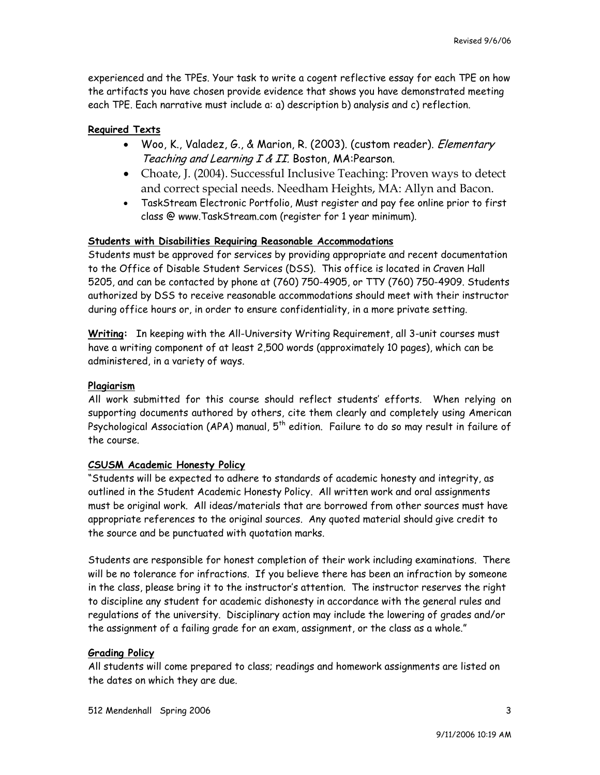experienced and the TPEs. Your task to write a cogent reflective essay for each TPE on how the artifacts you have chosen provide evidence that shows you have demonstrated meeting each TPE. Each narrative must include a: a) description b) analysis and c) reflection.

### **Required Texts**

- Woo, K., Valadez, G., & Marion, R. (2003). (custom reader). *Elementary* Teaching and Learning I & II. Boston, MA:Pearson.
- Choate, J. (2004). Successful Inclusive Teaching: Proven ways to detect and correct special needs. Needham Heights, MA: Allyn and Bacon.
- TaskStream Electronic Portfolio, Must register and pay fee online prior to first class @ www.TaskStream.com (register for 1 year minimum).

#### **Students with Disabilities Requiring Reasonable Accommodations**

Students must be approved for services by providing appropriate and recent documentation to the Office of Disable Student Services (DSS). This office is located in Craven Hall 5205, and can be contacted by phone at (760) 750-4905, or TTY (760) 750-4909. Students authorized by DSS to receive reasonable accommodations should meet with their instructor during office hours or, in order to ensure confidentiality, in a more private setting.

**Writing:** In keeping with the All-University Writing Requirement, all 3-unit courses must have a writing component of at least 2,500 words (approximately 10 pages), which can be administered, in a variety of ways.

#### **Plagiarism**

All work submitted for this course should reflect students' efforts. When relying on supporting documents authored by others, cite them clearly and completely using American Psychological Association (APA) manual,  $5^{th}$  edition. Failure to do so may result in failure of the course.

#### **CSUSM Academic Honesty Policy**

"Students will be expected to adhere to standards of academic honesty and integrity, as outlined in the Student Academic Honesty Policy. All written work and oral assignments must be original work. All ideas/materials that are borrowed from other sources must have appropriate references to the original sources. Any quoted material should give credit to the source and be punctuated with quotation marks.

Students are responsible for honest completion of their work including examinations. There will be no tolerance for infractions. If you believe there has been an infraction by someone in the class, please bring it to the instructor's attention. The instructor reserves the right to discipline any student for academic dishonesty in accordance with the general rules and regulations of the university. Disciplinary action may include the lowering of grades and/or the assignment of a failing grade for an exam, assignment, or the class as a whole."

### **Grading Policy**

All students will come prepared to class; readings and homework assignments are listed on the dates on which they are due.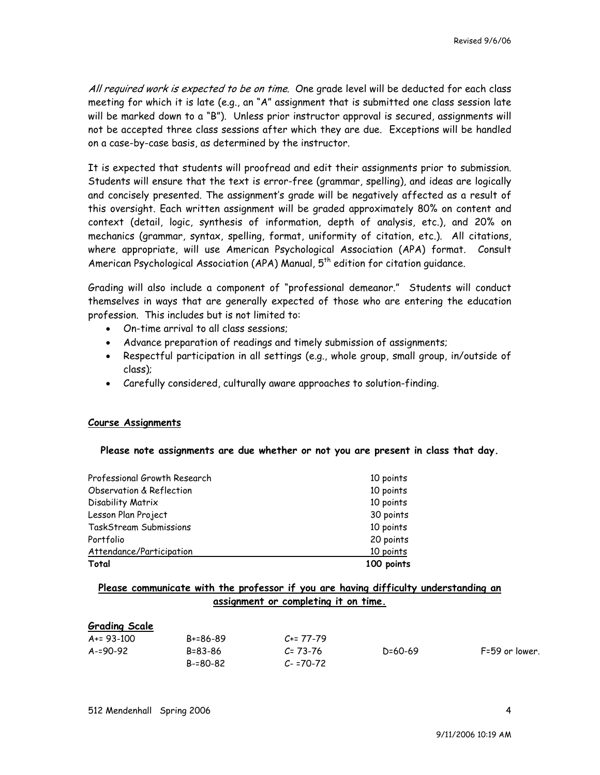All required work is expected to be on time. One grade level will be deducted for each class meeting for which it is late (e.g., an "A" assignment that is submitted one class session late will be marked down to a "B"). Unless prior instructor approval is secured, assignments will not be accepted three class sessions after which they are due. Exceptions will be handled on a case-by-case basis, as determined by the instructor.

It is expected that students will proofread and edit their assignments prior to submission. Students will ensure that the text is error-free (grammar, spelling), and ideas are logically and concisely presented. The assignment's grade will be negatively affected as a result of this oversight. Each written assignment will be graded approximately 80% on content and context (detail, logic, synthesis of information, depth of analysis, etc.), and 20% on mechanics (grammar, syntax, spelling, format, uniformity of citation, etc.). All citations, where appropriate, will use American Psychological Association (APA) format. Consult American Psychological Association (APA) Manual, 5<sup>th</sup> edition for citation guidance.

Grading will also include a component of "professional demeanor." Students will conduct themselves in ways that are generally expected of those who are entering the education profession. This includes but is not limited to:

- On-time arrival to all class sessions;
- Advance preparation of readings and timely submission of assignments;
- Respectful participation in all settings (e.g., whole group, small group, in/outside of class);
- Carefully considered, culturally aware approaches to solution-finding.

### **Course Assignments**

**Please note assignments are due whether or not you are present in class that day.** 

| Professional Growth Research | 10 points  |
|------------------------------|------------|
| Observation & Reflection     | 10 points  |
| Disability Matrix            | 10 points  |
| Lesson Plan Project          | 30 points  |
| TaskStream Submissions       | 10 points  |
| Portfolio                    | 20 points  |
| Attendance/Participation     | 10 points  |
| Total                        | 100 points |

## **Please communicate with the professor if you are having difficulty understanding an assignment or completing it on time.**

#### **Grading Scale**

| A+= 93-100 |  |
|------------|--|
| A-=90-92   |  |
|            |  |

B+=86-89 B=83-86 B-=80-82

 $C_{+}$ = 77-79 C= 73-76  $C - 70 - 72$ 

D=60-69 F=59 or lower.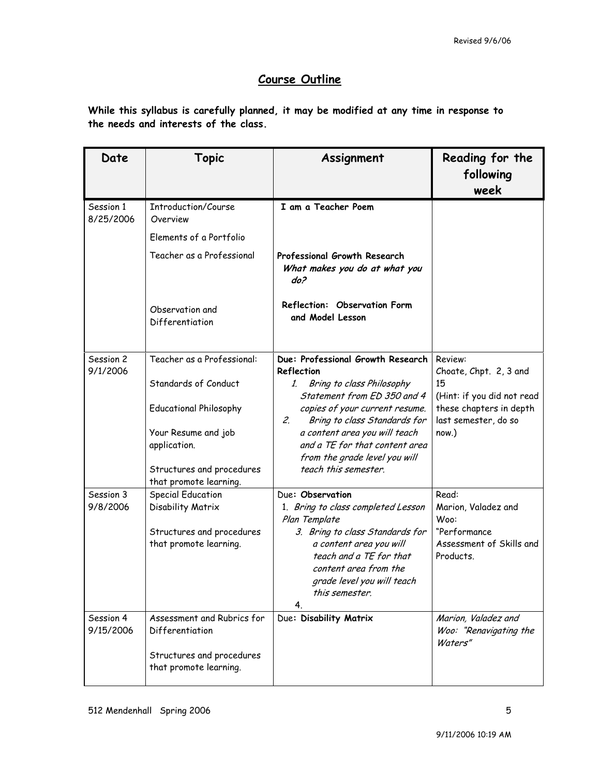# **Course Outline**

**While this syllabus is carefully planned, it may be modified at any time in response to the needs and interests of the class.** 

| Date                   | Topic                                               | Assignment                                                                                                                                                           | Reading for the                                       |
|------------------------|-----------------------------------------------------|----------------------------------------------------------------------------------------------------------------------------------------------------------------------|-------------------------------------------------------|
|                        |                                                     |                                                                                                                                                                      | following                                             |
|                        |                                                     |                                                                                                                                                                      | week                                                  |
| Session 1<br>8/25/2006 | Introduction/Course<br>Overview                     | I am a Teacher Poem                                                                                                                                                  |                                                       |
|                        | Elements of a Portfolio                             |                                                                                                                                                                      |                                                       |
|                        | Teacher as a Professional                           | Professional Growth Research<br>What makes you do at what you<br>do?                                                                                                 |                                                       |
|                        | Observation and<br>Differentiation                  | Reflection: Observation Form<br>and Model Lesson                                                                                                                     |                                                       |
| Session 2<br>9/1/2006  | Teacher as a Professional:                          | Due: Professional Growth Research<br>Reflection                                                                                                                      | Review:<br>Choate, Chpt. 2, 3 and                     |
|                        | Standards of Conduct                                | Bring to class Philosophy<br>1.<br>Statement from ED 350 and 4                                                                                                       | 15<br>(Hint: if you did not read                      |
|                        | <b>Educational Philosophy</b>                       | copies of your current resume.<br>Bring to class Standards for<br>2.                                                                                                 | these chapters in depth<br>last semester, do so       |
|                        | Your Resume and job<br>application.                 | a content area you will teach<br>and a TE for that content area<br>from the grade level you will                                                                     | now.)                                                 |
|                        | Structures and procedures<br>that promote learning. | teach this semester.                                                                                                                                                 |                                                       |
| Session 3              | <b>Special Education</b>                            | Due: Observation                                                                                                                                                     | Read:                                                 |
| 9/8/2006               | Disability Matrix                                   | 1. Bring to class completed Lesson<br>Plan Template                                                                                                                  | Marion, Valadez and<br>Woo:                           |
|                        | Structures and procedures<br>that promote learning. | 3. Bring to class Standards for<br>a content area you will<br>teach and a TE for that<br>content area from the<br>grade level you will teach<br>this semester.<br>4. | "Performance<br>Assessment of Skills and<br>Products. |
| Session 4              | Assessment and Rubrics for                          | Due: Disability Matrix                                                                                                                                               | Marion, Valadez and                                   |
| 9/15/2006              | Differentiation                                     |                                                                                                                                                                      | Woo: "Renavigating the<br>Waters"                     |
|                        | Structures and procedures<br>that promote learning. |                                                                                                                                                                      |                                                       |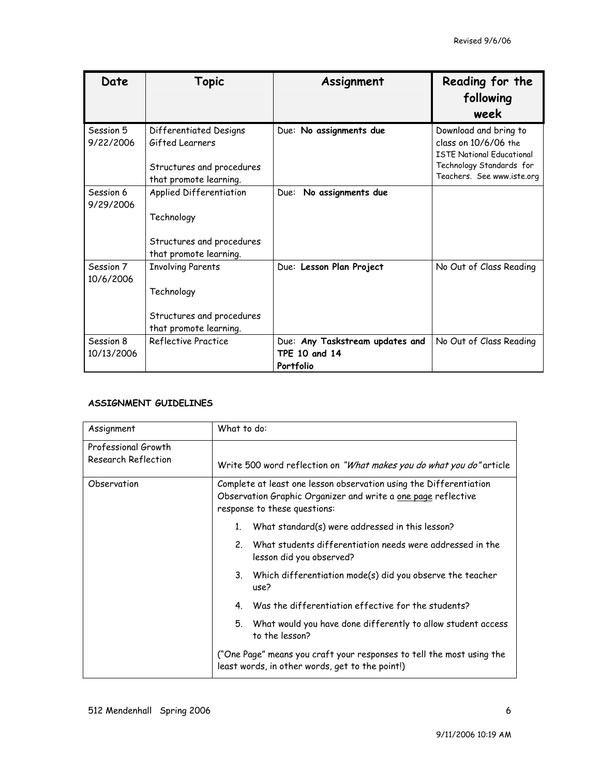| Date                    | Topic                                                                                            | Assignment                                                           | Reading for the<br>following<br>week                                                                                                        |
|-------------------------|--------------------------------------------------------------------------------------------------|----------------------------------------------------------------------|---------------------------------------------------------------------------------------------------------------------------------------------|
| Session 5<br>9/22/2006  | Differentiated Designs<br>Gifted Learners<br>Structures and procedures<br>that promote learning. | Due: No assignments due                                              | Download and bring to<br>class on 10/6/06 the<br><b>ISTF National Educational</b><br>Technology Standards for<br>Teachers. See www.iste.org |
| Session 6<br>9/29/2006  | Applied Differentiation<br>Technology<br>Structures and procedures<br>that promote learning.     | No assignments due<br>Due:                                           |                                                                                                                                             |
| Session 7<br>10/6/2006  | <b>Involving Parents</b><br>Technology<br>Structures and procedures<br>that promote learning.    | Due: Lesson Plan Project                                             | No Out of Class Reading                                                                                                                     |
| Session 8<br>10/13/2006 | Reflective Practice                                                                              | Due: Any Taskstream updates and<br><b>TPE 10 and 14</b><br>Portfolio | No Out of Class Reading                                                                                                                     |

### **ASSIGNMENT GUIDELINES**

| Assignment                                 | What to do:                                                                                                                                                         |  |
|--------------------------------------------|---------------------------------------------------------------------------------------------------------------------------------------------------------------------|--|
| Professional Growth<br>Research Reflection | Write 500 word reflection on "What makes you do what you do" article                                                                                                |  |
| Observation                                | Complete at least one lesson observation using the Differentiation<br>Observation Graphic Organizer and write a one page reflective<br>response to these questions: |  |
|                                            | What standard(s) were addressed in this lesson?<br>$1_{-}$                                                                                                          |  |
|                                            | What students differentiation needs were addressed in the<br>2<br>lesson did you observed?                                                                          |  |
|                                            | 3. Which differentiation mode(s) did you observe the teacher<br>use?                                                                                                |  |
|                                            | Was the differentiation effective for the students?<br>4.                                                                                                           |  |
|                                            | 5.<br>What would you have done differently to allow student access<br>to the lesson?                                                                                |  |
|                                            | ("One Page" means you craft your responses to tell the most using the<br>least words, in other words, get to the point!)                                            |  |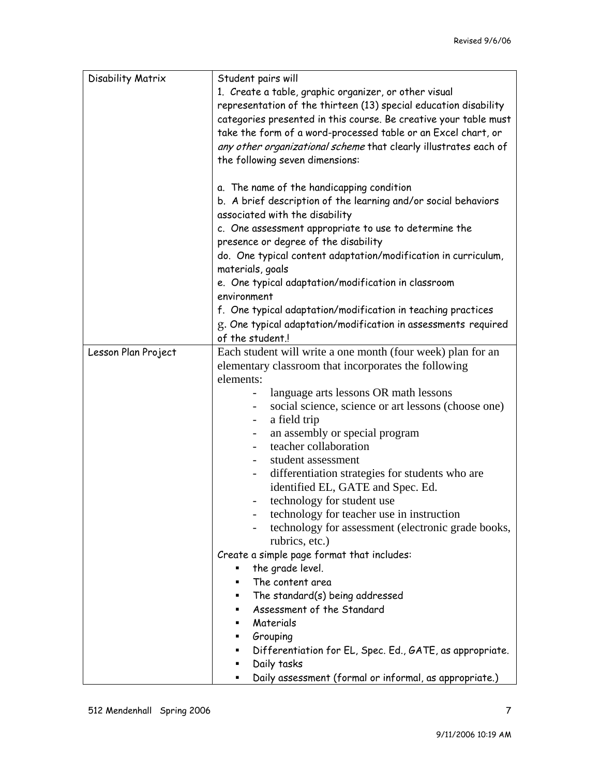| Disability Matrix   | Student pairs will<br>1. Create a table, graphic organizer, or other visual<br>representation of the thirteen (13) special education disability<br>categories presented in this course. Be creative your table must<br>take the form of a word-processed table or an Excel chart, or<br>any other organizational scheme that clearly illustrates each of<br>the following seven dimensions: |
|---------------------|---------------------------------------------------------------------------------------------------------------------------------------------------------------------------------------------------------------------------------------------------------------------------------------------------------------------------------------------------------------------------------------------|
|                     | a. The name of the handicapping condition<br>b. A brief description of the learning and/or social behaviors                                                                                                                                                                                                                                                                                 |
|                     | associated with the disability                                                                                                                                                                                                                                                                                                                                                              |
|                     | c. One assessment appropriate to use to determine the                                                                                                                                                                                                                                                                                                                                       |
|                     | presence or degree of the disability                                                                                                                                                                                                                                                                                                                                                        |
|                     | do. One typical content adaptation/modification in curriculum,<br>materials, goals                                                                                                                                                                                                                                                                                                          |
|                     | e. One typical adaptation/modification in classroom<br>environment                                                                                                                                                                                                                                                                                                                          |
|                     | f. One typical adaptation/modification in teaching practices                                                                                                                                                                                                                                                                                                                                |
|                     | g. One typical adaptation/modification in assessments required                                                                                                                                                                                                                                                                                                                              |
|                     | of the student.                                                                                                                                                                                                                                                                                                                                                                             |
| Lesson Plan Project | Each student will write a one month (four week) plan for an                                                                                                                                                                                                                                                                                                                                 |
|                     | elementary classroom that incorporates the following<br>elements:                                                                                                                                                                                                                                                                                                                           |
|                     | language arts lessons OR math lessons                                                                                                                                                                                                                                                                                                                                                       |
|                     | social science, science or art lessons (choose one)                                                                                                                                                                                                                                                                                                                                         |
|                     | a field trip<br>$\overline{\phantom{a}}$                                                                                                                                                                                                                                                                                                                                                    |
|                     | an assembly or special program<br>teacher collaboration                                                                                                                                                                                                                                                                                                                                     |
|                     | student assessment                                                                                                                                                                                                                                                                                                                                                                          |
|                     | differentiation strategies for students who are<br>-                                                                                                                                                                                                                                                                                                                                        |
|                     | identified EL, GATE and Spec. Ed.                                                                                                                                                                                                                                                                                                                                                           |
|                     | technology for student use                                                                                                                                                                                                                                                                                                                                                                  |
|                     | technology for teacher use in instruction                                                                                                                                                                                                                                                                                                                                                   |
|                     | technology for assessment (electronic grade books,                                                                                                                                                                                                                                                                                                                                          |
|                     | rubrics, etc.)                                                                                                                                                                                                                                                                                                                                                                              |
|                     | Create a simple page format that includes:                                                                                                                                                                                                                                                                                                                                                  |
|                     | the grade level.<br>The content area                                                                                                                                                                                                                                                                                                                                                        |
|                     | The standard(s) being addressed<br>٠                                                                                                                                                                                                                                                                                                                                                        |
|                     | Assessment of the Standard<br>٠                                                                                                                                                                                                                                                                                                                                                             |
|                     | Materials                                                                                                                                                                                                                                                                                                                                                                                   |
|                     | Grouping                                                                                                                                                                                                                                                                                                                                                                                    |
|                     | Differentiation for EL, Spec. Ed., GATE, as appropriate.<br>٠                                                                                                                                                                                                                                                                                                                               |
|                     | Daily tasks<br>٠                                                                                                                                                                                                                                                                                                                                                                            |
|                     | Daily assessment (formal or informal, as appropriate.)                                                                                                                                                                                                                                                                                                                                      |